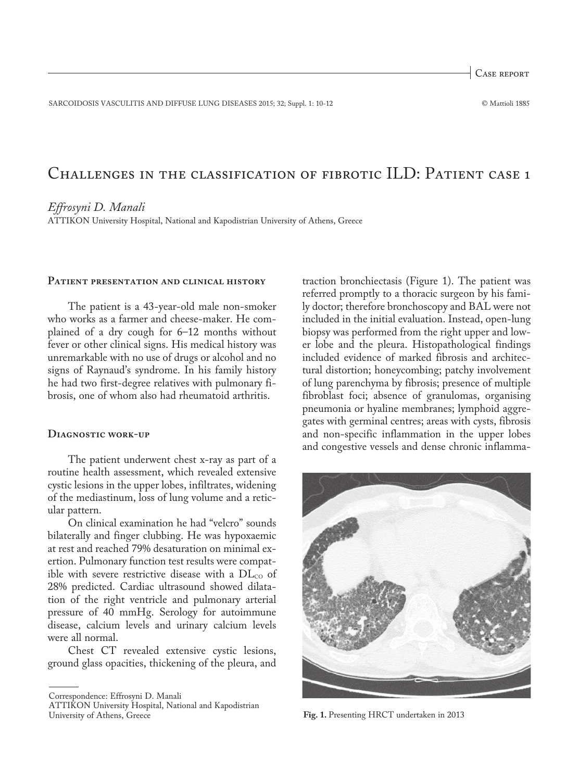Case report

SARCOIDOSIS VASCULITIS AND DIFFUSE LUNG DISEASES 2015; 32; Suppl. 1: 10-12 © Mattioli 1885

# Challenges in the classification of fibrotic ILD: Patient case 1

*Effrosyni D. Manali*

ATTIKON University Hospital, National and Kapodistrian University of Athens, Greece

## **Patient presentation and clinical history**

The patient is a 43-year-old male non-smoker who works as a farmer and cheese-maker. He complained of a dry cough for 6–12 months without fever or other clinical signs. His medical history was unremarkable with no use of drugs or alcohol and no signs of Raynaud's syndrome. In his family history he had two first-degree relatives with pulmonary fibrosis, one of whom also had rheumatoid arthritis.

## **Diagnostic work-up**

The patient underwent chest x-ray as part of a routine health assessment, which revealed extensive cystic lesions in the upper lobes, infiltrates, widening of the mediastinum, loss of lung volume and a reticular pattern.

On clinical examination he had "velcro" sounds bilaterally and finger clubbing. He was hypoxaemic at rest and reached 79% desaturation on minimal exertion. Pulmonary function test results were compatible with severe restrictive disease with a  $DL_{CO}$  of 28% predicted. Cardiac ultrasound showed dilatation of the right ventricle and pulmonary arterial pressure of 40 mmHg. Serology for autoimmune disease, calcium levels and urinary calcium levels were all normal.

Chest CT revealed extensive cystic lesions, ground glass opacities, thickening of the pleura, and

traction bronchiectasis (Figure 1). The patient was referred promptly to a thoracic surgeon by his family doctor; therefore bronchoscopy and BAL were not included in the initial evaluation. Instead, open-lung biopsy was performed from the right upper and lower lobe and the pleura. Histopathological findings included evidence of marked fibrosis and architectural distortion; honeycombing; patchy involvement of lung parenchyma by fibrosis; presence of multiple fibroblast foci; absence of granulomas, organising pneumonia or hyaline membranes; lymphoid aggregates with germinal centres; areas with cysts, fibrosis and non-specific inflammation in the upper lobes and congestive vessels and dense chronic inflamma-



**Fig. 1.** Presenting HRCT undertaken in 2013

Correspondence: Effrosyni D. Manali

ATTIKON University Hospital, National and Kapodistrian University of Athens, Greece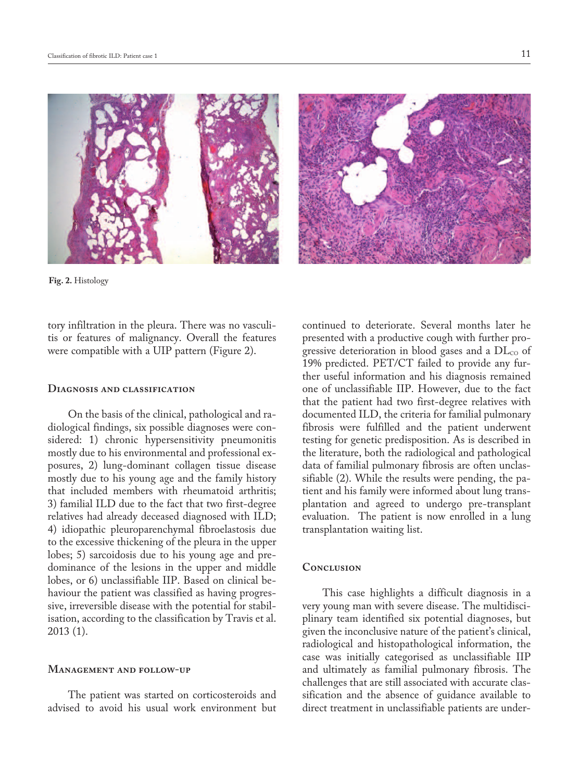

**Fig. 2.** Histology

tory infiltration in the pleura. There was no vasculitis or features of malignancy. Overall the features were compatible with a UIP pattern (Figure 2).

## **Diagnosis and classification**

On the basis of the clinical, pathological and radiological findings, six possible diagnoses were considered: 1) chronic hypersensitivity pneumonitis mostly due to his environmental and professional exposures, 2) lung-dominant collagen tissue disease mostly due to his young age and the family history that included members with rheumatoid arthritis; 3) familial ILD due to the fact that two first-degree relatives had already deceased diagnosed with ILD; 4) idiopathic pleuroparenchymal fibroelastosis due to the excessive thickening of the pleura in the upper lobes; 5) sarcoidosis due to his young age and predominance of the lesions in the upper and middle lobes, or 6) unclassifiable IIP. Based on clinical behaviour the patient was classified as having progressive, irreversible disease with the potential for stabilisation, according to the classification by Travis et al. 2013 (1).

## **Management and follow-up**

The patient was started on corticosteroids and advised to avoid his usual work environment but continued to deteriorate. Several months later he presented with a productive cough with further progressive deterioration in blood gases and a  $DL_{CO}$  of 19% predicted. PET/CT failed to provide any further useful information and his diagnosis remained one of unclassifiable IIP. However, due to the fact that the patient had two first-degree relatives with documented ILD, the criteria for familial pulmonary fibrosis were fulfilled and the patient underwent testing for genetic predisposition. As is described in the literature, both the radiological and pathological data of familial pulmonary fibrosis are often unclassifiable (2). While the results were pending, the patient and his family were informed about lung transplantation and agreed to undergo pre-transplant evaluation. The patient is now enrolled in a lung transplantation waiting list.

# **Conclusion**

This case highlights a difficult diagnosis in a very young man with severe disease. The multidisciplinary team identified six potential diagnoses, but given the inconclusive nature of the patient's clinical, radiological and histopathological information, the case was initially categorised as unclassifiable IIP and ultimately as familial pulmonary fibrosis. The challenges that are still associated with accurate classification and the absence of guidance available to direct treatment in unclassifiable patients are under